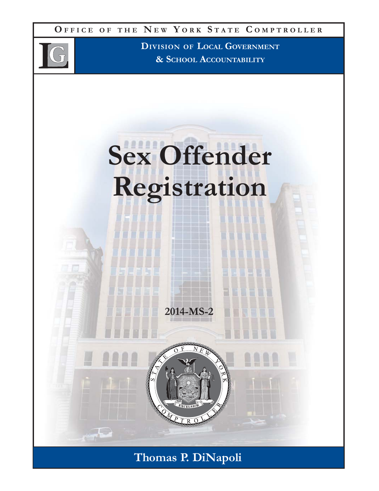**O FFICE O F THE N E W Y ORK S TATE C OMPTROLLER**



**DIVISION OF LOCAL GOVERNMENT & SCHOOL ACCOUNTABILITY**



**Thomas P. DiNapoli**

**2014-MS-2**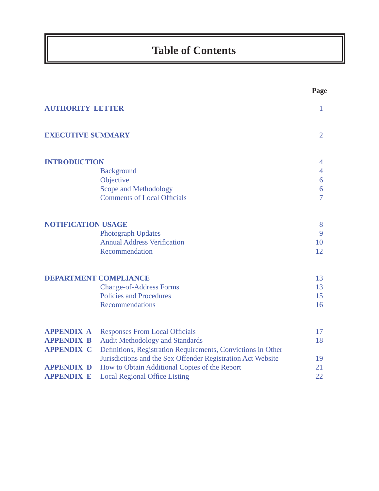# **Table of Contents**

|                     |                                                              | $\sigma$       |
|---------------------|--------------------------------------------------------------|----------------|
|                     | <b>AUTHORITY LETTER</b>                                      | $\mathbf{1}$   |
|                     | <b>EXECUTIVE SUMMARY</b>                                     | $\overline{2}$ |
| <b>INTRODUCTION</b> |                                                              | $\overline{4}$ |
|                     | <b>Background</b>                                            | $\overline{4}$ |
|                     | Objective                                                    | 6              |
|                     | Scope and Methodology                                        | 6              |
|                     | <b>Comments of Local Officials</b>                           | $\overline{7}$ |
|                     | <b>NOTIFICATION USAGE</b>                                    | 8              |
|                     | <b>Photograph Updates</b>                                    | 9              |
|                     | <b>Annual Address Verification</b>                           | 10             |
|                     | Recommendation                                               | 12             |
|                     | <b>DEPARTMENT COMPLIANCE</b>                                 | 13             |
|                     | <b>Change-of-Address Forms</b>                               | 13             |
|                     | <b>Policies and Procedures</b>                               | 15             |
|                     | <b>Recommendations</b>                                       | 16             |
| <b>APPENDIX A</b>   | <b>Responses From Local Officials</b>                        | 17             |
| <b>APPENDIX B</b>   | <b>Audit Methodology and Standards</b>                       | 18             |
| <b>APPENDIX C</b>   | Definitions, Registration Requirements, Convictions in Other |                |
|                     | Jurisdictions and the Sex Offender Registration Act Website  | 19             |
| <b>APPENDIX D</b>   | How to Obtain Additional Copies of the Report                | 21             |
| <b>APPENDIX E</b>   | <b>Local Regional Office Listing</b>                         | 22             |
|                     |                                                              |                |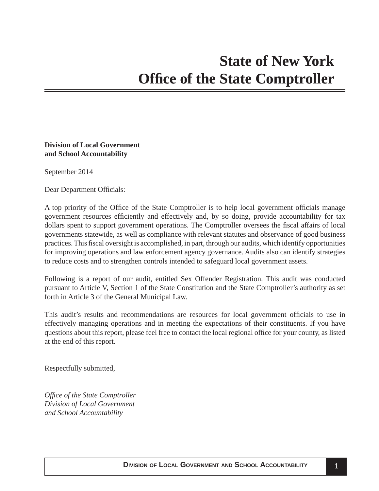### <span id="page-2-0"></span>**Division of Local Government and School Accountability**

September 2014

Dear Department Officials:

A top priority of the Office of the State Comptroller is to help local government officials manage government resources efficiently and effectively and, by so doing, provide accountability for tax dollars spent to support government operations. The Comptroller oversees the fiscal affairs of local governments statewide, as well as compliance with relevant statutes and observance of good business practices. This fiscal oversight is accomplished, in part, through our audits, which identify opportunities for improving operations and law enforcement agency governance. Audits also can identify strategies to reduce costs and to strengthen controls intended to safeguard local government assets.

Following is a report of our audit, entitled Sex Offender Registration. This audit was conducted pursuant to Article V, Section 1 of the State Constitution and the State Comptroller's authority as set forth in Article 3 of the General Municipal Law.

This audit's results and recommendations are resources for local government officials to use in effectively managing operations and in meeting the expectations of their constituents. If you have questions about this report, please feel free to contact the local regional office for your county, as listed at the end of this report.

Respectfully submitted,

*Offi ce of the State Comptroller Division of Local Government and School Accountability*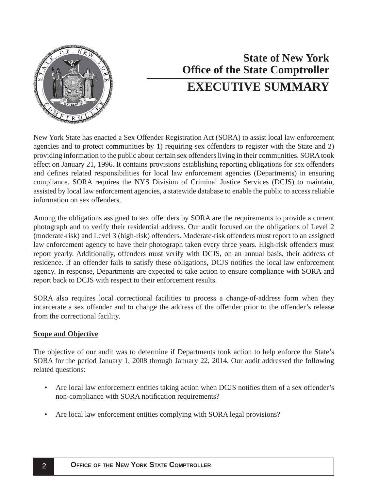<span id="page-3-0"></span>

# **Office of the State Comptroller State of New York EXECUTIVE SUMMARY**

New York State has enacted a Sex Offender Registration Act (SORA) to assist local law enforcement agencies and to protect communities by 1) requiring sex offenders to register with the State and 2) providing information to the public about certain sex offenders living in their communities. SORA took effect on January 21, 1996. It contains provisions establishing reporting obligations for sex offenders and defines related responsibilities for local law enforcement agencies (Departments) in ensuring compliance. SORA requires the NYS Division of Criminal Justice Services (DCJS) to maintain, assisted by local law enforcement agencies, a statewide database to enable the public to access reliable information on sex offenders.

Among the obligations assigned to sex offenders by SORA are the requirements to provide a current photograph and to verify their residential address. Our audit focused on the obligations of Level 2 (moderate-risk) and Level 3 (high-risk) offenders. Moderate-risk offenders must report to an assigned law enforcement agency to have their photograph taken every three years. High-risk offenders must report yearly. Additionally, offenders must verify with DCJS, on an annual basis, their address of residence. If an offender fails to satisfy these obligations, DCJS notifies the local law enforcement agency. In response, Departments are expected to take action to ensure compliance with SORA and report back to DCJS with respect to their enforcement results.

SORA also requires local correctional facilities to process a change-of-address form when they incarcerate a sex offender and to change the address of the offender prior to the offender's release from the correctional facility.

## **Scope and Objective**

The objective of our audit was to determine if Departments took action to help enforce the State's SORA for the period January 1, 2008 through January 22, 2014. Our audit addressed the following related questions:

- Are local law enforcement entities taking action when DCJS notifies them of a sex offender's non-compliance with SORA notification requirements?
- Are local law enforcement entities complying with SORA legal provisions?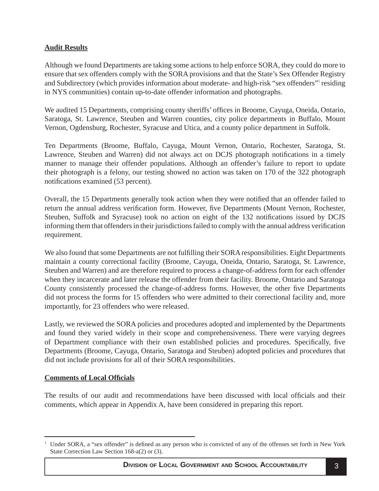## **Audit Results**

Although we found Departments are taking some actions to help enforce SORA, they could do more to ensure that sex offenders comply with the SORA provisions and that the State's Sex Offender Registry and Subdirectory (which provides information about moderate- and high-risk "sex offenders" residing in NYS communities) contain up-to-date offender information and photographs.

We audited 15 Departments, comprising county sheriffs' offices in Broome, Cayuga, Oneida, Ontario, Saratoga, St. Lawrence, Steuben and Warren counties, city police departments in Buffalo, Mount Vernon, Ogdensburg, Rochester, Syracuse and Utica, and a county police department in Suffolk.

Ten Departments (Broome, Buffalo, Cayuga, Mount Vernon, Ontario, Rochester, Saratoga, St. Lawrence, Steuben and Warren) did not always act on DCJS photograph notifications in a timely manner to manage their offender populations. Although an offender's failure to report to update their photograph is a felony, our testing showed no action was taken on 170 of the 322 photograph notifications examined (53 percent).

Overall, the 15 Departments generally took action when they were notified that an offender failed to return the annual address verification form. However, five Departments (Mount Vernon, Rochester, Steuben, Suffolk and Syracuse) took no action on eight of the 132 notifications issued by DCJS informing them that offenders in their jurisdictions failed to comply with the annual address verification requirement.

We also found that some Departments are not fulfilling their SORA responsibilities. Eight Departments maintain a county correctional facility (Broome, Cayuga, Oneida, Ontario, Saratoga, St. Lawrence, Steuben and Warren) and are therefore required to process a change-of-address form for each offender when they incarcerate and later release the offender from their facility. Broome, Ontario and Saratoga County consistently processed the change-of-address forms. However, the other five Departments did not process the forms for 15 offenders who were admitted to their correctional facility and, more importantly, for 23 offenders who were released.

Lastly, we reviewed the SORA policies and procedures adopted and implemented by the Departments and found they varied widely in their scope and comprehensiveness. There were varying degrees of Department compliance with their own established policies and procedures. Specifically, five Departments (Broome, Cayuga, Ontario, Saratoga and Steuben) adopted policies and procedures that did not include provisions for all of their SORA responsibilities.

## **Comments of Local Offi cials**

The results of our audit and recommendations have been discussed with local officials and their comments, which appear in Appendix A, have been considered in preparing this report.

<sup>1</sup> Under SORA, a "sex offender" is defined as any person who is convicted of any of the offenses set forth in New York State Correction Law Section 168-a(2) or (3).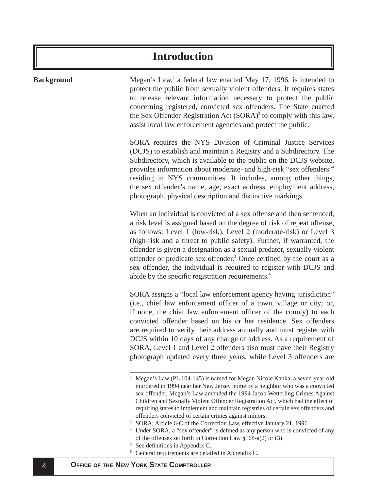## **Introduction**

## <span id="page-5-0"></span>**Background** Megan's Law,<sup>2</sup> a federal law enacted May 17, 1996, is intended to protect the public from sexually violent offenders. It requires states to release relevant information necessary to protect the public concerning registered, convicted sex offenders. The State enacted the Sex Offender Registration Act  $(SORA)^3$  to comply with this law, assist local law enforcement agencies and protect the public. SORA requires the NYS Division of Criminal Justice Services (DCJS) to establish and maintain a Registry and a Subdirectory. The Subdirectory, which is available to the public on the DCJS website, provides information about moderate- and high-risk "sex offenders"4 residing in NYS communities. It includes, among other things, the sex offender's name, age, exact address, employment address, photograph, physical description and distinctive markings. When an individual is convicted of a sex offense and then sentenced, a risk level is assigned based on the degree of risk of repeat offense, as follows: Level 1 (low-risk), Level 2 (moderate-risk) or Level 3 (high-risk and a threat to public safety). Further, if warranted, the offender is given a designation as a sexual predator, sexually violent offender or predicate sex offender.<sup>5</sup> Once certified by the court as a sex offender, the individual is required to register with DCJS and abide by the specific registration requirements.<sup>6</sup> SORA assigns a "local law enforcement agency having jurisdiction" (i.e., chief law enforcement officer of a town, village or city; or, if none, the chief law enforcement officer of the county) to each convicted offender based on his or her residence. Sex offenders are required to verify their address annually and must register with DCJS within 10 days of any change of address. As a requirement of SORA, Level 1 and Level 2 offenders also must have their Registry photograph updated every three years, while Level 3 offenders are 2 Megan's Law (PL 104-145) is named for Megan Nicole Kanka, a seven-year-old murdered in 1994 near her New Jersey home by a neighbor who was a convicted sex offender. Megan's Law amended the 1994 Jacob Wetterling Crimes Against Children and Sexually Violent Offender Registration Act, which had the effect of requiring states to implement and maintain registries of certain sex offenders and offenders convicted of certain crimes against minors. 3 SORA; Article 6-C of the Correction Law, effective January 21, 1996 4 Under SORA, a "sex offender" is defined as any person who is convicted of any of the offenses set forth in Correction Law  $§168-a(2)$  or (3).

- See definitions in Appendix C.
- 6 General requirements are detailed in Appendix C.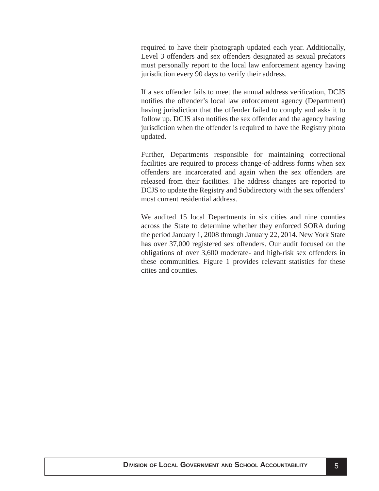required to have their photograph updated each year. Additionally, Level 3 offenders and sex offenders designated as sexual predators must personally report to the local law enforcement agency having jurisdiction every 90 days to verify their address.

If a sex offender fails to meet the annual address verification, DCJS notifies the offender's local law enforcement agency (Department) having jurisdiction that the offender failed to comply and asks it to follow up. DCJS also notifies the sex offender and the agency having jurisdiction when the offender is required to have the Registry photo updated.

Further, Departments responsible for maintaining correctional facilities are required to process change-of-address forms when sex offenders are incarcerated and again when the sex offenders are released from their facilities. The address changes are reported to DCJS to update the Registry and Subdirectory with the sex offenders' most current residential address.

We audited 15 local Departments in six cities and nine counties across the State to determine whether they enforced SORA during the period January 1, 2008 through January 22, 2014. New York State has over 37,000 registered sex offenders. Our audit focused on the obligations of over 3,600 moderate- and high-risk sex offenders in these communities. Figure 1 provides relevant statistics for these cities and counties.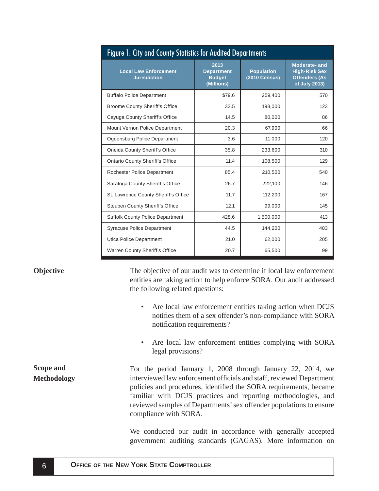<span id="page-7-0"></span>

| Figure 1: City and County Statistics for Audited Departments |                                                          |                                           |                                                                                      |  |
|--------------------------------------------------------------|----------------------------------------------------------|-------------------------------------------|--------------------------------------------------------------------------------------|--|
| <b>Local Law Enforcement</b><br><b>Jurisdiction</b>          | 2013<br><b>Department</b><br><b>Budget</b><br>(Millions) | <b>Population</b><br><b>(2010 Census)</b> | <b>Moderate-and</b><br><b>High-Risk Sex</b><br><b>Offenders (As</b><br>of July 2013) |  |
| <b>Buffalo Police Department</b>                             | \$79.6                                                   | 259,400                                   | 570                                                                                  |  |
| <b>Broome County Sheriff's Office</b>                        | 32.5                                                     | 198,000                                   | 123                                                                                  |  |
| Cayuga County Sheriff's Office                               | 14.5                                                     | 80,000                                    | 86                                                                                   |  |
| Mount Vernon Police Department                               | 20.3                                                     | 67,900                                    | 66                                                                                   |  |
| Ogdensburg Police Department                                 | 3.6                                                      | 11,000                                    | 120                                                                                  |  |
| Oneida County Sheriff's Office                               | 35.8                                                     | 233,600                                   | 310                                                                                  |  |
| <b>Ontario County Sheriff's Office</b>                       | 11.4                                                     | 108,500                                   | 129                                                                                  |  |
| <b>Rochester Police Department</b>                           | 85.4                                                     | 210,500                                   | 540                                                                                  |  |
| Saratoga County Sheriff's Office                             | 26.7                                                     | 222,100                                   | 146                                                                                  |  |
| St. Lawrence County Sheriff's Office                         | 11.7                                                     | 112,200                                   | 167                                                                                  |  |
| <b>Steuben County Sheriff's Office</b>                       | 12.1                                                     | 99,000                                    | 145                                                                                  |  |
| <b>Suffolk County Police Department</b>                      | 428.6                                                    | 1,500,000                                 | 413                                                                                  |  |
| <b>Syracuse Police Department</b>                            | 44.5                                                     | 144,200                                   | 483                                                                                  |  |
| Utica Police Department                                      | 21.0                                                     | 62,000                                    | 205                                                                                  |  |
| <b>Warren County Sheriff's Office</b>                        | 20.7                                                     | 65,500                                    | 99                                                                                   |  |

### **Objective**

The objective of our audit was to determine if local law enforcement entities are taking action to help enforce SORA. Our audit addressed the following related questions:

- Are local law enforcement entities taking action when DCJS notifies them of a sex offender's non-compliance with SORA notification requirements?
- Are local law enforcement entities complying with SORA legal provisions?

**Scope and Methodology** For the period January 1, 2008 through January 22, 2014, we interviewed law enforcement officials and staff, reviewed Department policies and procedures, identified the SORA requirements, became familiar with DCJS practices and reporting methodologies, and reviewed samples of Departments' sex offender populations to ensure compliance with SORA.

> We conducted our audit in accordance with generally accepted government auditing standards (GAGAS). More information on

## **O** 6 **FFICE OF THE NEW YORK STATE COMPTROLLER**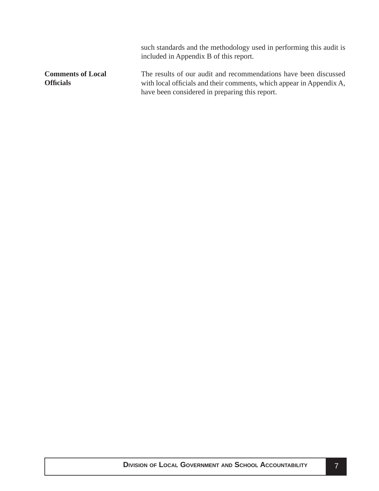<span id="page-8-0"></span>

|                                              | such standards and the methodology used in performing this audit is<br>included in Appendix B of this report.                                                                              |
|----------------------------------------------|--------------------------------------------------------------------------------------------------------------------------------------------------------------------------------------------|
| <b>Comments of Local</b><br><b>Officials</b> | The results of our audit and recommendations have been discussed<br>with local officials and their comments, which appear in Appendix A,<br>have been considered in preparing this report. |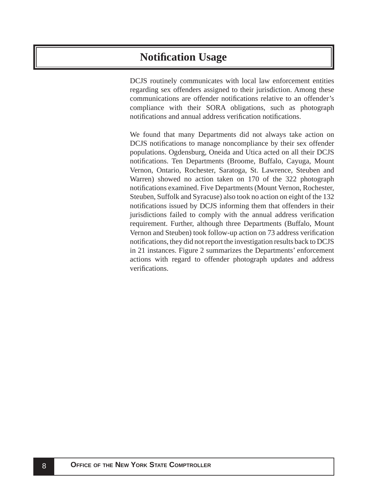## <span id="page-9-0"></span>**Notifi cation Usage**

DCJS routinely communicates with local law enforcement entities regarding sex offenders assigned to their jurisdiction. Among these communications are offender notifications relative to an offender's compliance with their SORA obligations, such as photograph notifications and annual address verification notifications.

We found that many Departments did not always take action on DCJS notifications to manage noncompliance by their sex offender populations. Ogdensburg, Oneida and Utica acted on all their DCJS notifications. Ten Departments (Broome, Buffalo, Cayuga, Mount Vernon, Ontario, Rochester, Saratoga, St. Lawrence, Steuben and Warren) showed no action taken on 170 of the 322 photograph notifications examined. Five Departments (Mount Vernon, Rochester, Steuben, Suffolk and Syracuse) also took no action on eight of the 132 notifications issued by DCJS informing them that offenders in their jurisdictions failed to comply with the annual address verification requirement. Further, although three Departments (Buffalo, Mount Vernon and Steuben) took follow-up action on 73 address verification notifications, they did not report the investigation results back to DCJS in 21 instances. Figure 2 summarizes the Departments' enforcement actions with regard to offender photograph updates and address verifications.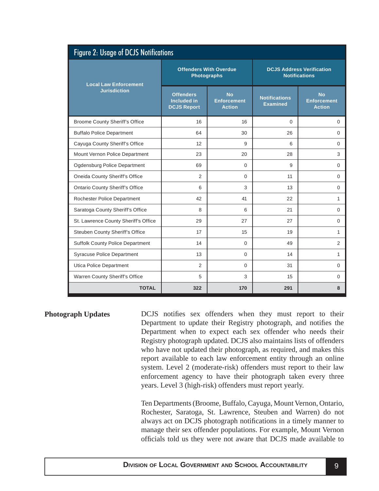<span id="page-10-0"></span>

| <b>Figure 2: Usage of DCJS Notifications</b> |                                                              |                                                  |                                                          |                                                  |  |
|----------------------------------------------|--------------------------------------------------------------|--------------------------------------------------|----------------------------------------------------------|--------------------------------------------------|--|
| <b>Local Law Enforcement</b>                 | <b>Offenders With Overdue</b><br><b>Photographs</b>          |                                                  | <b>DCJS Address Verification</b><br><b>Notifications</b> |                                                  |  |
| <b>Jurisdiction</b>                          | <b>Offenders</b><br><b>Included in</b><br><b>DCJS Report</b> | <b>No</b><br><b>Enforcement</b><br><b>Action</b> | <b>Notifications</b><br><b>Examined</b>                  | <b>No</b><br><b>Enforcement</b><br><b>Action</b> |  |
| <b>Broome County Sheriff's Office</b>        | 16                                                           | 16                                               | $\Omega$                                                 | $\Omega$                                         |  |
| <b>Buffalo Police Department</b>             | 64                                                           | 30                                               | 26                                                       | $\Omega$                                         |  |
| Cayuga County Sheriff's Office               | 12                                                           | 9                                                | 6                                                        | $\Omega$                                         |  |
| Mount Vernon Police Department               | 23                                                           | 20                                               | 28                                                       | 3                                                |  |
| Ogdensburg Police Department                 | 69                                                           | $\Omega$                                         | 9                                                        | $\mathbf 0$                                      |  |
| Oneida County Sheriff's Office               | 2                                                            | $\Omega$                                         | 11                                                       | $\Omega$                                         |  |
| <b>Ontario County Sheriff's Office</b>       | 6                                                            | 3                                                | 13                                                       | $\Omega$                                         |  |
| Rochester Police Department                  | 42                                                           | 41                                               | 22                                                       | $\mathbf{1}$                                     |  |
| Saratoga County Sheriff's Office             | 8                                                            | 6                                                | 21                                                       | $\Omega$                                         |  |
| St. Lawrence County Sheriff's Office         | 29                                                           | 27                                               | 27                                                       | $\Omega$                                         |  |
| Steuben County Sheriff's Office              | 17                                                           | 15                                               | 19                                                       | $\mathbf{1}$                                     |  |
| <b>Suffolk County Police Department</b>      | 14                                                           | $\Omega$                                         | 49                                                       | 2                                                |  |
| Syracuse Police Department                   | 13                                                           | $\Omega$                                         | 14                                                       | 1                                                |  |
| Utica Police Department                      | 2                                                            | $\Omega$                                         | 31                                                       | $\mathbf 0$                                      |  |
| Warren County Sheriff's Office               | 5                                                            | 3                                                | 15                                                       | 0                                                |  |
| <b>TOTAL</b>                                 | 322                                                          | 170                                              | 291                                                      | 8                                                |  |

DCJS notifies sex offenders when they must report to their Department to update their Registry photograph, and notifies the Department when to expect each sex offender who needs their Registry photograph updated. DCJS also maintains lists of offenders who have not updated their photograph, as required, and makes this report available to each law enforcement entity through an online system. Level 2 (moderate-risk) offenders must report to their law enforcement agency to have their photograph taken every three years. Level 3 (high-risk) offenders must report yearly. **Photograph Updates**

> Ten Departments (Broome, Buffalo, Cayuga, Mount Vernon, Ontario, Rochester, Saratoga, St. Lawrence, Steuben and Warren) do not always act on DCJS photograph notifications in a timely manner to manage their sex offender populations. For example, Mount Vernon officials told us they were not aware that DCJS made available to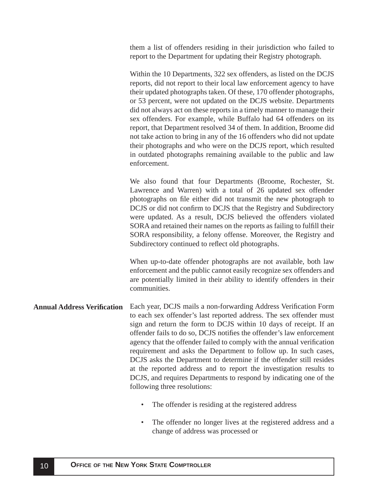<span id="page-11-0"></span>them a list of offenders residing in their jurisdiction who failed to report to the Department for updating their Registry photograph.

Within the 10 Departments, 322 sex offenders, as listed on the DCJS reports, did not report to their local law enforcement agency to have their updated photographs taken. Of these, 170 offender photographs, or 53 percent, were not updated on the DCJS website. Departments did not always act on these reports in a timely manner to manage their sex offenders. For example, while Buffalo had 64 offenders on its report, that Department resolved 34 of them. In addition, Broome did not take action to bring in any of the 16 offenders who did not update their photographs and who were on the DCJS report, which resulted in outdated photographs remaining available to the public and law enforcement.

We also found that four Departments (Broome, Rochester, St. Lawrence and Warren) with a total of 26 updated sex offender photographs on file either did not transmit the new photograph to DCJS or did not confirm to DCJS that the Registry and Subdirectory were updated. As a result, DCJS believed the offenders violated SORA and retained their names on the reports as failing to fulfill their SORA responsibility, a felony offense. Moreover, the Registry and Subdirectory continued to reflect old photographs.

When up-to-date offender photographs are not available, both law enforcement and the public cannot easily recognize sex offenders and are potentially limited in their ability to identify offenders in their communities.

- Each year, DCJS mails a non-forwarding Address Verification Form to each sex offender's last reported address. The sex offender must sign and return the form to DCJS within 10 days of receipt. If an offender fails to do so, DCJS notifies the offender's law enforcement agency that the offender failed to comply with the annual verification requirement and asks the Department to follow up. In such cases, DCJS asks the Department to determine if the offender still resides at the reported address and to report the investigation results to DCJS, and requires Departments to respond by indicating one of the following three resolutions: **Annual Address Verifi cation** 
	- The offender is residing at the registered address
	- The offender no longer lives at the registered address and a change of address was processed or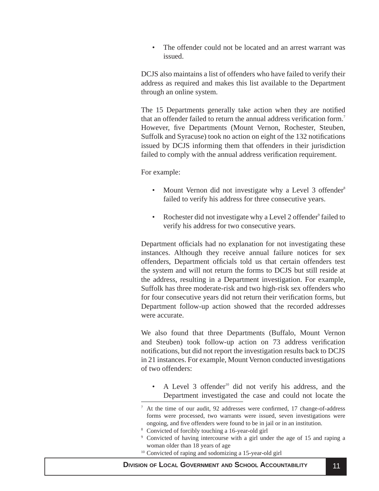The offender could not be located and an arrest warrant was issued.

DCJS also maintains a list of offenders who have failed to verify their address as required and makes this list available to the Department through an online system.

The 15 Departments generally take action when they are notified that an offender failed to return the annual address verification form.<sup>7</sup> However, five Departments (Mount Vernon, Rochester, Steuben, Suffolk and Syracuse) took no action on eight of the 132 notifications issued by DCJS informing them that offenders in their jurisdiction failed to comply with the annual address verification requirement.

For example:

- Mount Vernon did not investigate why a Level 3 offender<sup>8</sup> failed to verify his address for three consecutive years.
- Rochester did not investigate why a Level 2 offender<sup>9</sup> failed to verify his address for two consecutive years.

Department officials had no explanation for not investigating these instances. Although they receive annual failure notices for sex offenders, Department officials told us that certain offenders test the system and will not return the forms to DCJS but still reside at the address, resulting in a Department investigation. For example, Suffolk has three moderate-risk and two high-risk sex offenders who for four consecutive years did not return their verification forms, but Department follow-up action showed that the recorded addresses were accurate.

We also found that three Departments (Buffalo, Mount Vernon and Steuben) took follow-up action on 73 address verification notifications, but did not report the investigation results back to DCJS in 21 instances. For example, Mount Vernon conducted investigations of two offenders:

• A Level 3 offender<sup>10</sup> did not verify his address, and the Department investigated the case and could not locate the

- 8 Convicted of forcibly touching a 16-year-old girl
- 9 Convicted of having intercourse with a girl under the age of 15 and raping a woman older than 18 years of age
- <sup>10</sup> Convicted of raping and sodomizing a 15-year-old girl

<sup>7</sup> At the time of our audit, 92 addresses were confirmed, 17 change-of-address forms were processed, two warrants were issued, seven investigations were ongoing, and five offenders were found to be in jail or in an institution.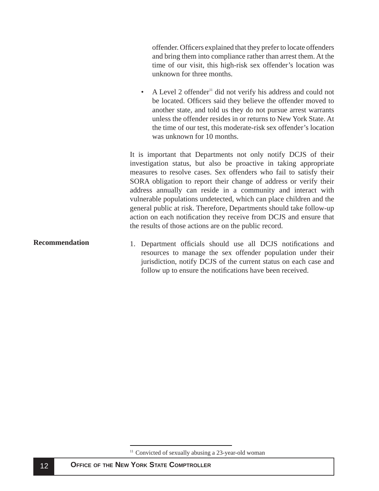<span id="page-13-0"></span>offender. Officers explained that they prefer to locate offenders and bring them into compliance rather than arrest them. At the time of our visit, this high-risk sex offender's location was unknown for three months.

A Level 2 offender<sup>11</sup> did not verify his address and could not be located. Officers said they believe the offender moved to another state, and told us they do not pursue arrest warrants unless the offender resides in or returns to New York State. At the time of our test, this moderate-risk sex offender's location was unknown for 10 months.

It is important that Departments not only notify DCJS of their investigation status, but also be proactive in taking appropriate measures to resolve cases. Sex offenders who fail to satisfy their SORA obligation to report their change of address or verify their address annually can reside in a community and interact with vulnerable populations undetected, which can place children and the general public at risk. Therefore, Departments should take follow-up action on each notification they receive from DCJS and ensure that the results of those actions are on the public record.

1. Department officials should use all DCJS notifications and resources to manage the sex offender population under their jurisdiction, notify DCJS of the current status on each case and follow up to ensure the notifications have been received. **Recommendation**

<sup>&</sup>lt;sup>11</sup> Convicted of sexually abusing a 23-year-old woman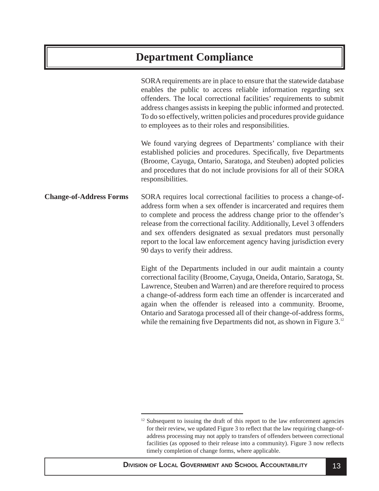## <span id="page-14-0"></span>**Department Compliance**

SORA requirements are in place to ensure that the statewide database enables the public to access reliable information regarding sex offenders. The local correctional facilities' requirements to submit address changes assists in keeping the public informed and protected. To do so effectively, written policies and procedures provide guidance to employees as to their roles and responsibilities.

We found varying degrees of Departments' compliance with their established policies and procedures. Specifically, five Departments (Broome, Cayuga, Ontario, Saratoga, and Steuben) adopted policies and procedures that do not include provisions for all of their SORA responsibilities.

SORA requires local correctional facilities to process a change-ofaddress form when a sex offender is incarcerated and requires them to complete and process the address change prior to the offender's release from the correctional facility. Additionally, Level 3 offenders and sex offenders designated as sexual predators must personally report to the local law enforcement agency having jurisdiction every 90 days to verify their address. **Change-of-Address Forms**

> Eight of the Departments included in our audit maintain a county correctional facility (Broome, Cayuga, Oneida, Ontario, Saratoga, St. Lawrence, Steuben and Warren) and are therefore required to process a change-of-address form each time an offender is incarcerated and again when the offender is released into a community. Broome, Ontario and Saratoga processed all of their change-of-address forms, while the remaining five Departments did not, as shown in Figure  $3<sup>12</sup>$

<sup>&</sup>lt;sup>12</sup> Subsequent to issuing the draft of this report to the law enforcement agencies for their review, we updated Figure 3 to reflect that the law requiring change-ofaddress processing may not apply to transfers of offenders between correctional facilities (as opposed to their release into a community). Figure 3 now reflects timely completion of change forms, where applicable.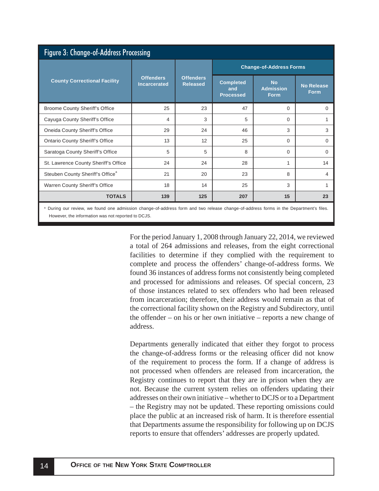| Figure 3: Change-of-Address Processing       |                                         |                                     |                                             |                                              |                                  |  |
|----------------------------------------------|-----------------------------------------|-------------------------------------|---------------------------------------------|----------------------------------------------|----------------------------------|--|
|                                              | <b>Offenders</b><br><b>Incarcerated</b> | <b>Offenders</b><br><b>Released</b> | <b>Change-of-Address Forms</b>              |                                              |                                  |  |
| <b>County Correctional Facility</b>          |                                         |                                     | <b>Completed</b><br>and<br><b>Processed</b> | <b>No</b><br><b>Admission</b><br><b>Form</b> | <b>No Release</b><br><b>Form</b> |  |
| <b>Broome County Sheriff's Office</b>        | 25                                      | 23                                  | 47                                          | 0                                            | $\Omega$                         |  |
| Cayuga County Sheriff's Office               | 4                                       | 3                                   | 5                                           | $\Omega$                                     |                                  |  |
| Oneida County Sheriff's Office               | 29                                      | 24                                  | 46                                          | 3                                            | 3                                |  |
| <b>Ontario County Sheriff's Office</b>       | 13                                      | 12                                  | 25                                          | $\Omega$                                     | $\Omega$                         |  |
| Saratoga County Sheriff's Office             | 5                                       | 5                                   | 8                                           | $\Omega$                                     | $\Omega$                         |  |
| St. Lawrence County Sheriff's Office         | 24                                      | 24                                  | 28                                          | 1                                            | 14                               |  |
| Steuben County Sheriff's Office <sup>®</sup> | 21                                      | 20                                  | 23                                          | 8                                            | 4                                |  |
| Warren County Sheriff's Office               | 18                                      | 14                                  | 25                                          | 3                                            |                                  |  |
| <b>TOTALS</b>                                | 139                                     | 125                                 | 207                                         | 15                                           | 23                               |  |

a During our review, we found one admission change-of-address form and two release change-of-address forms in the Department's files. However, the information was not reported to DCJS.

> For the period January 1, 2008 through January 22, 2014, we reviewed a total of 264 admissions and releases, from the eight correctional facilities to determine if they complied with the requirement to complete and process the offenders' change-of-address forms. We found 36 instances of address forms not consistently being completed and processed for admissions and releases. Of special concern, 23 of those instances related to sex offenders who had been released from incarceration; therefore, their address would remain as that of the correctional facility shown on the Registry and Subdirectory, until the offender – on his or her own initiative – reports a new change of address.

> Departments generally indicated that either they forgot to process the change-of-address forms or the releasing officer did not know of the requirement to process the form. If a change of address is not processed when offenders are released from incarceration, the Registry continues to report that they are in prison when they are not. Because the current system relies on offenders updating their addresses on their own initiative – whether to DCJS or to a Department – the Registry may not be updated. These reporting omissions could place the public at an increased risk of harm. It is therefore essential that Departments assume the responsibility for following up on DCJS reports to ensure that offenders' addresses are properly updated.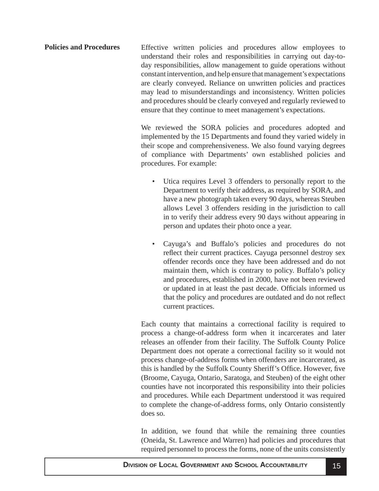<span id="page-16-0"></span>Effective written policies and procedures allow employees to understand their roles and responsibilities in carrying out day-today responsibilities, allow management to guide operations without constant intervention, and help ensure that management's expectations are clearly conveyed. Reliance on unwritten policies and practices may lead to misunderstandings and inconsistency. Written policies and procedures should be clearly conveyed and regularly reviewed to ensure that they continue to meet management's expectations. **Policies and Procedures**

> We reviewed the SORA policies and procedures adopted and implemented by the 15 Departments and found they varied widely in their scope and comprehensiveness. We also found varying degrees of compliance with Departments' own established policies and procedures. For example:

- Utica requires Level 3 offenders to personally report to the Department to verify their address, as required by SORA, and have a new photograph taken every 90 days, whereas Steuben allows Level 3 offenders residing in the jurisdiction to call in to verify their address every 90 days without appearing in person and updates their photo once a year.
- Cayuga's and Buffalo's policies and procedures do not reflect their current practices. Cayuga personnel destroy sex offender records once they have been addressed and do not maintain them, which is contrary to policy. Buffalo's policy and procedures, established in 2000, have not been reviewed or updated in at least the past decade. Officials informed us that the policy and procedures are outdated and do not reflect current practices.

Each county that maintains a correctional facility is required to process a change-of-address form when it incarcerates and later releases an offender from their facility. The Suffolk County Police Department does not operate a correctional facility so it would not process change-of-address forms when offenders are incarcerated, as this is handled by the Suffolk County Sheriff's Office. However, five (Broome, Cayuga, Ontario, Saratoga, and Steuben) of the eight other counties have not incorporated this responsibility into their policies and procedures. While each Department understood it was required to complete the change-of-address forms, only Ontario consistently does so.

In addition, we found that while the remaining three counties (Oneida, St. Lawrence and Warren) had policies and procedures that required personnel to process the forms, none of the units consistently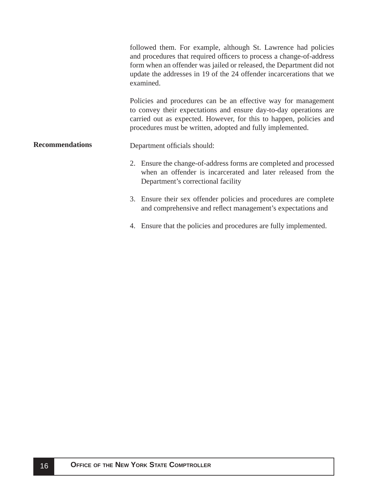<span id="page-17-0"></span>

|                        |                                                                                                                                                                                                                                                                         | followed them. For example, although St. Lawrence had policies<br>and procedures that required officers to process a change-of-address<br>form when an offender was jailed or released, the Department did not<br>update the addresses in 19 of the 24 offender incarcerations that we<br>examined. |
|------------------------|-------------------------------------------------------------------------------------------------------------------------------------------------------------------------------------------------------------------------------------------------------------------------|-----------------------------------------------------------------------------------------------------------------------------------------------------------------------------------------------------------------------------------------------------------------------------------------------------|
|                        | Policies and procedures can be an effective way for management<br>to convey their expectations and ensure day-to-day operations are<br>carried out as expected. However, for this to happen, policies and<br>procedures must be written, adopted and fully implemented. |                                                                                                                                                                                                                                                                                                     |
| <b>Recommendations</b> |                                                                                                                                                                                                                                                                         | Department officials should:                                                                                                                                                                                                                                                                        |
|                        |                                                                                                                                                                                                                                                                         | 2. Ensure the change-of-address forms are completed and processed<br>when an offender is incarcerated and later released from the<br>Department's correctional facility                                                                                                                             |
|                        |                                                                                                                                                                                                                                                                         | 3. Ensure their sex offender policies and procedures are complete<br>and comprehensive and reflect management's expectations and                                                                                                                                                                    |
|                        | 4.                                                                                                                                                                                                                                                                      | Ensure that the policies and procedures are fully implemented.                                                                                                                                                                                                                                      |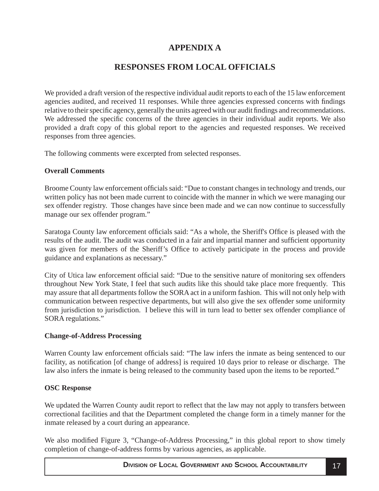## **APPENDIX A**

## **RESPONSES FROM LOCAL OFFICIALS**

<span id="page-18-0"></span>We provided a draft version of the respective individual audit reports to each of the 15 law enforcement agencies audited, and received 11 responses. While three agencies expressed concerns with findings relative to their specific agency, generally the units agreed with our audit findings and recommendations. We addressed the specific concerns of the three agencies in their individual audit reports. We also provided a draft copy of this global report to the agencies and requested responses. We received responses from three agencies.

The following comments were excerpted from selected responses.

## **Overall Comments**

Broome County law enforcement officials said: "Due to constant changes in technology and trends, our written policy has not been made current to coincide with the manner in which we were managing our sex offender registry. Those changes have since been made and we can now continue to successfully manage our sex offender program."

Saratoga County law enforcement officials said: "As a whole, the Sheriff's Office is pleased with the results of the audit. The audit was conducted in a fair and impartial manner and sufficient opportunity was given for members of the Sheriff's Office to actively participate in the process and provide guidance and explanations as necessary."

City of Utica law enforcement official said: "Due to the sensitive nature of monitoring sex offenders throughout New York State, I feel that such audits like this should take place more frequently. This may assure that all departments follow the SORA act in a uniform fashion. This will not only help with communication between respective departments, but will also give the sex offender some uniformity from jurisdiction to jurisdiction. I believe this will in turn lead to better sex offender compliance of SORA regulations."

## **Change-of-Address Processing**

Warren County law enforcement officials said: "The law infers the inmate as being sentenced to our facility, as notification [of change of address] is required 10 days prior to release or discharge. The law also infers the inmate is being released to the community based upon the items to be reported."

## **OSC Response**

We updated the Warren County audit report to reflect that the law may not apply to transfers between correctional facilities and that the Department completed the change form in a timely manner for the inmate released by a court during an appearance.

We also modified Figure 3, "Change-of-Address Processing," in this global report to show timely completion of change-of-address forms by various agencies, as applicable.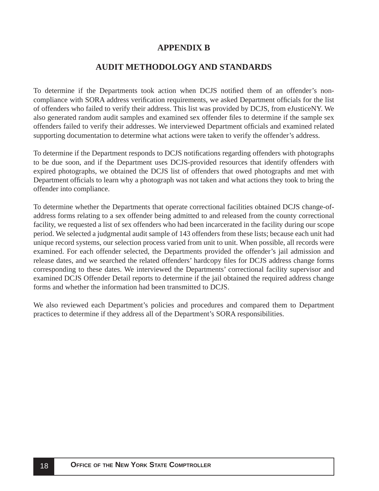## **APPENDIX B**

## **AUDIT METHODOLOGY AND STANDARDS**

<span id="page-19-0"></span>To determine if the Departments took action when DCJS notified them of an offender's noncompliance with SORA address verification requirements, we asked Department officials for the list of offenders who failed to verify their address. This list was provided by DCJS, from eJusticeNY. We also generated random audit samples and examined sex offender files to determine if the sample sex offenders failed to verify their addresses. We interviewed Department officials and examined related supporting documentation to determine what actions were taken to verify the offender's address.

To determine if the Department responds to DCJS notifications regarding offenders with photographs to be due soon, and if the Department uses DCJS-provided resources that identify offenders with expired photographs, we obtained the DCJS list of offenders that owed photographs and met with Department officials to learn why a photograph was not taken and what actions they took to bring the offender into compliance.

To determine whether the Departments that operate correctional facilities obtained DCJS change-ofaddress forms relating to a sex offender being admitted to and released from the county correctional facility, we requested a list of sex offenders who had been incarcerated in the facility during our scope period. We selected a judgmental audit sample of 143 offenders from these lists; because each unit had unique record systems, our selection process varied from unit to unit. When possible, all records were examined. For each offender selected, the Departments provided the offender's jail admission and release dates, and we searched the related offenders' hardcopy files for DCJS address change forms corresponding to these dates. We interviewed the Departments' correctional facility supervisor and examined DCJS Offender Detail reports to determine if the jail obtained the required address change forms and whether the information had been transmitted to DCJS.

We also reviewed each Department's policies and procedures and compared them to Department practices to determine if they address all of the Department's SORA responsibilities.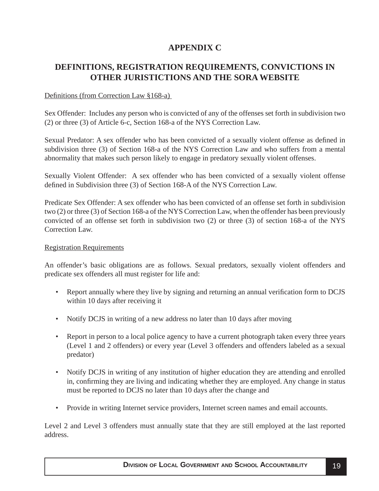## **APPENDIX C**

## <span id="page-20-0"></span>**DEFINITIONS, REGISTRATION REQUIREMENTS, CONVICTIONS IN OTHER JURISTICTIONS AND THE SORA WEBSITE**

### Definitions (from Correction Law  $§168-a$ )

Sex Offender: Includes any person who is convicted of any of the offenses set forth in subdivision two (2) or three (3) of Article 6-c, Section 168-a of the NYS Correction Law.

Sexual Predator: A sex offender who has been convicted of a sexually violent offense as defined in subdivision three (3) of Section 168-a of the NYS Correction Law and who suffers from a mental abnormality that makes such person likely to engage in predatory sexually violent offenses.

Sexually Violent Offender: A sex offender who has been convicted of a sexually violent offense defined in Subdivision three  $(3)$  of Section 168-A of the NYS Correction Law.

Predicate Sex Offender: A sex offender who has been convicted of an offense set forth in subdivision two (2) or three (3) of Section 168-a of the NYS Correction Law, when the offender has been previously convicted of an offense set forth in subdivision two (2) or three (3) of section 168-a of the NYS Correction Law.

### Registration Requirements

An offender's basic obligations are as follows. Sexual predators, sexually violent offenders and predicate sex offenders all must register for life and:

- Report annually where they live by signing and returning an annual verification form to DCJS within 10 days after receiving it
- Notify DCJS in writing of a new address no later than 10 days after moving
- Report in person to a local police agency to have a current photograph taken every three years (Level 1 and 2 offenders) or every year (Level 3 offenders and offenders labeled as a sexual predator)
- Notify DCJS in writing of any institution of higher education they are attending and enrolled in, confirming they are living and indicating whether they are employed. Any change in status must be reported to DCJS no later than 10 days after the change and
- Provide in writing Internet service providers, Internet screen names and email accounts.

Level 2 and Level 3 offenders must annually state that they are still employed at the last reported address.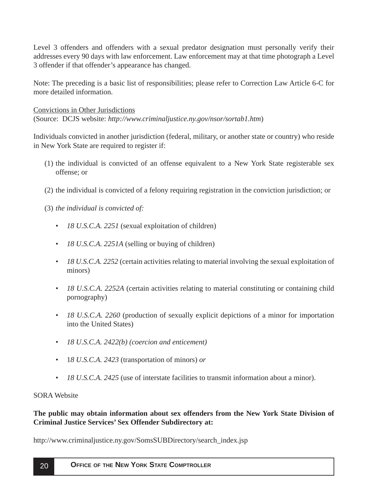Level 3 offenders and offenders with a sexual predator designation must personally verify their addresses every 90 days with law enforcement. Law enforcement may at that time photograph a Level 3 offender if that offender's appearance has changed.

Note: The preceding is a basic list of responsibilities; please refer to Correction Law Article 6-C for more detailed information.

Convictions in Other Jurisdictions

(Source: DCJS website: *http://www.criminaljustice.ny.gov/nsor/sortab1.htm*)

Individuals convicted in another jurisdiction (federal, military, or another state or country) who reside in New York State are required to register if:

- (1) the individual is convicted of an offense equivalent to a New York State registerable sex offense; or
- (2) the individual is convicted of a felony requiring registration in the conviction jurisdiction; or

(3) *the individual is convicted of:*

- *18 U.S.C.A. 2251* (sexual exploitation of children)
- *18 U.S.C.A. 2251A* (selling or buying of children)
- *18 U.S.C.A. 2252* (certain activities relating to material involving the sexual exploitation of minors)
- *18 U.S.C.A. 2252A* (certain activities relating to material constituting or containing child pornography)
- *18 U.S.C.A. 2260* (production of sexually explicit depictions of a minor for importation into the United States)
- *18 U.S.C.A. 2422(b) (coercion and enticement)*
- 1*8 U.S.C.A. 2423* (transportation of minors) *or*
- *18 U.S.C.A. 2425* (use of interstate facilities to transmit information about a minor).

## SORA Website

## **The public may obtain information about sex offenders from the New York State Division of Criminal Justice Services' Sex Offender Subdirectory at:**

http://www.criminaljustice.ny.gov/SomsSUBDirectory/search\_index.jsp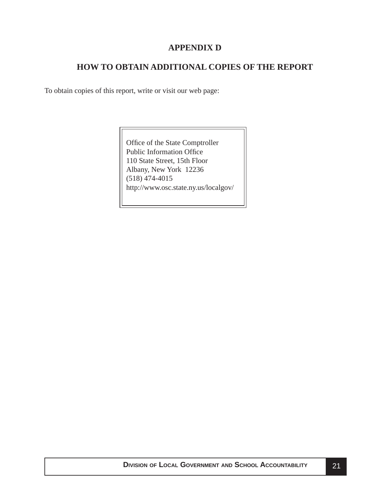## **APPENDIX D**

## **HOW TO OBTAIN ADDITIONAL COPIES OF THE REPORT**

<span id="page-22-0"></span>To obtain copies of this report, write or visit our web page:

Office of the State Comptroller Public Information Office 110 State Street, 15th Floor Albany, New York 12236 (518) 474-4015 http://www.osc.state.ny.us/localgov/